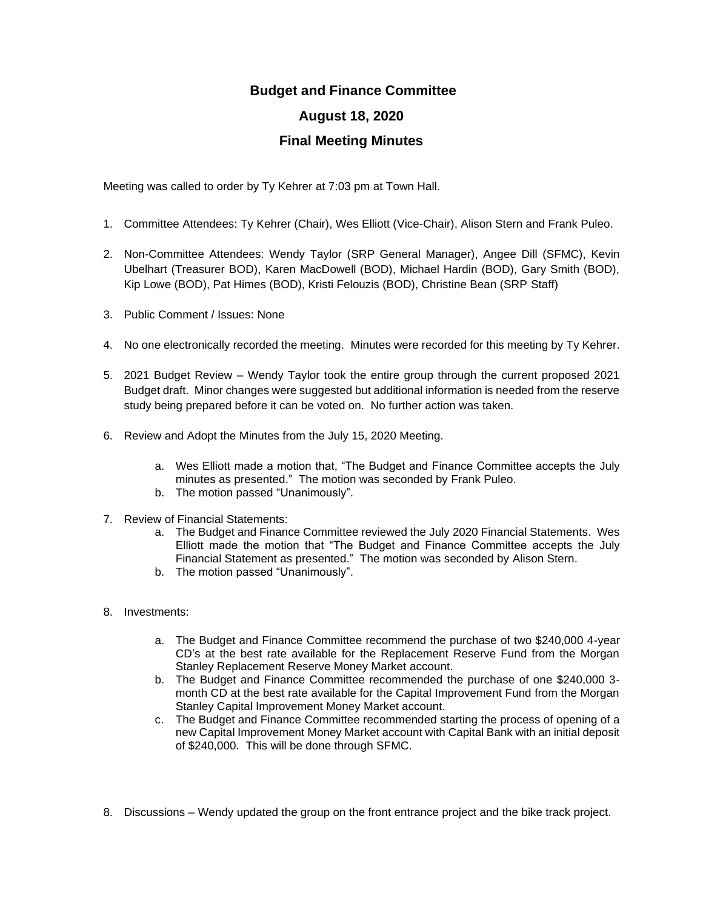## **Budget and Finance Committee**

## **August 18, 2020**

## **Final Meeting Minutes**

Meeting was called to order by Ty Kehrer at 7:03 pm at Town Hall.

- 1. Committee Attendees: Ty Kehrer (Chair), Wes Elliott (Vice-Chair), Alison Stern and Frank Puleo.
- 2. Non-Committee Attendees: Wendy Taylor (SRP General Manager), Angee Dill (SFMC), Kevin Ubelhart (Treasurer BOD), Karen MacDowell (BOD), Michael Hardin (BOD), Gary Smith (BOD), Kip Lowe (BOD), Pat Himes (BOD), Kristi Felouzis (BOD), Christine Bean (SRP Staff)
- 3. Public Comment / Issues: None
- 4. No one electronically recorded the meeting. Minutes were recorded for this meeting by Ty Kehrer.
- 5. 2021 Budget Review Wendy Taylor took the entire group through the current proposed 2021 Budget draft. Minor changes were suggested but additional information is needed from the reserve study being prepared before it can be voted on. No further action was taken.
- 6. Review and Adopt the Minutes from the July 15, 2020 Meeting.
	- a. Wes Elliott made a motion that, "The Budget and Finance Committee accepts the July minutes as presented." The motion was seconded by Frank Puleo.
	- b. The motion passed "Unanimously".
- 7. Review of Financial Statements:
	- a. The Budget and Finance Committee reviewed the July 2020 Financial Statements. Wes Elliott made the motion that "The Budget and Finance Committee accepts the July Financial Statement as presented." The motion was seconded by Alison Stern.
	- b. The motion passed "Unanimously".
- 8. Investments:
	- a. The Budget and Finance Committee recommend the purchase of two \$240,000 4-year CD's at the best rate available for the Replacement Reserve Fund from the Morgan Stanley Replacement Reserve Money Market account.
	- b. The Budget and Finance Committee recommended the purchase of one \$240,000 3 month CD at the best rate available for the Capital Improvement Fund from the Morgan Stanley Capital Improvement Money Market account.
	- c. The Budget and Finance Committee recommended starting the process of opening of a new Capital Improvement Money Market account with Capital Bank with an initial deposit of \$240,000. This will be done through SFMC.
- 8. Discussions Wendy updated the group on the front entrance project and the bike track project.